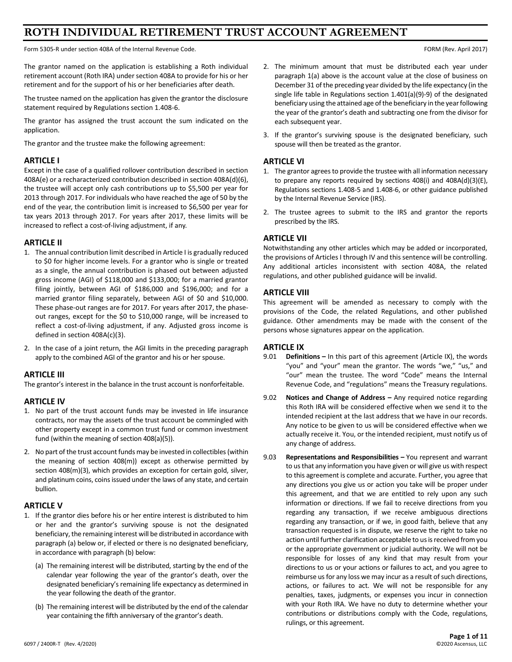# **ROTH INDIVIDUAL RETIREMENT TRUST ACCOUNT AGREEMENT**

Form 5305-R under section 408A of the Internal Revenue Code. Form 1999 and the United States of the Internal Revenue Code.

The grantor named on the application is establishing a Roth individual retirement account (Roth IRA) under section 408A to provide for his or her retirement and for the support of his or her beneficiaries after death.

The trustee named on the application has given the grantor the disclosure statement required by Regulations section 1.408-6.

The grantor has assigned the trust account the sum indicated on the application.

The grantor and the trustee make the following agreement:

## **ARTICLE I**

Except in the case of a qualified rollover contribution described in section 408A(e) or a recharacterized contribution described in section 408A(d)(6), the trustee will accept only cash contributions up to \$5,500 per year for 2013 through 2017. For individuals who have reached the age of 50 by the end of the year, the contribution limit is increased to \$6,500 per year for tax years 2013 through 2017. For years after 2017, these limits will be increased to reflect a cost-of-living adjustment, if any.

## **ARTICLE II**

- 1. The annual contribution limit described in Article I is gradually reduced to \$0 for higher income levels. For a grantor who is single or treated as a single, the annual contribution is phased out between adjusted gross income (AGI) of \$118,000 and \$133,000; for a married grantor filing jointly, between AGI of \$186,000 and \$196,000; and for a married grantor filing separately, between AGI of \$0 and \$10,000. These phase-out ranges are for 2017. For years after 2017, the phaseout ranges, except for the \$0 to \$10,000 range, will be increased to reflect a cost-of-living adjustment, if any. Adjusted gross income is defined in section 408A(c)(3).
- 2. In the case of a joint return, the AGI limits in the preceding paragraph apply to the combined AGI of the grantor and his or her spouse.

## **ARTICLE III**

The grantor's interest in the balance in the trust account is nonforfeitable.

#### **ARTICLE IV**

- 1. No part of the trust account funds may be invested in life insurance contracts, nor may the assets of the trust account be commingled with other property except in a common trust fund or common investment fund (within the meaning of section 408(a)(5)).
- 2. No part of the trust account funds may be invested in collectibles(within the meaning of section 408(m)) except as otherwise permitted by section 408(m)(3), which provides an exception for certain gold, silver, and platinum coins, coins issued under the laws of any state, and certain bullion.

# **ARTICLE V**

- 1. If the grantor dies before his or her entire interest is distributed to him or her and the grantor's surviving spouse is not the designated beneficiary, the remaining interest will be distributed in accordance with paragraph (a) below or, if elected or there is no designated beneficiary, in accordance with paragraph (b) below:
	- (a) The remaining interest will be distributed, starting by the end of the calendar year following the year of the grantor's death, over the designated beneficiary's remaining life expectancy as determined in the year following the death of the grantor.
	- (b) The remaining interest will be distributed by the end of the calendar year containing the fifth anniversary of the grantor's death.
- 2. The minimum amount that must be distributed each year under paragraph 1(a) above is the account value at the close of business on December 31 of the preceding year divided by the life expectancy (in the single life table in Regulations section 1.401(a)(9)-9) of the designated beneficiary using the attained age of the beneficiary in the year following the year of the grantor's death and subtracting one from the divisor for each subsequent year.
- 3. If the grantor's surviving spouse is the designated beneficiary, such spouse will then be treated as the grantor.

## **ARTICLE VI**

- 1. The grantor agrees to provide the trustee with all information necessary to prepare any reports required by sections 408(i) and 408A(d)(3)(E), Regulations sections 1.408-5 and 1.408-6, or other guidance published by the Internal Revenue Service (IRS).
- 2. The trustee agrees to submit to the IRS and grantor the reports prescribed by the IRS.

## **ARTICLE VII**

Notwithstanding any other articles which may be added or incorporated, the provisions of Articles I through IV and this sentence will be controlling. Any additional articles inconsistent with section 408A, the related regulations, and other published guidance will be invalid.

## **ARTICLE VIII**

This agreement will be amended as necessary to comply with the provisions of the Code, the related Regulations, and other published guidance. Other amendments may be made with the consent of the persons whose signatures appear on the application.

## **ARTICLE IX**

- 9.01 **Definitions –** In this part of this agreement (Article IX), the words "you" and "your" mean the grantor. The words "we," "us," and "our" mean the trustee. The word "Code" means the Internal Revenue Code, and "regulations" means the Treasury regulations.
- 9.02 **Notices and Change of Address –** Any required notice regarding this Roth IRA will be considered effective when we send it to the intended recipient at the last address that we have in our records. Any notice to be given to us will be considered effective when we actually receive it. You, or the intended recipient, must notify us of any change of address.
- 9.03 **Representations and Responsibilities –** You represent and warrant to us that any information you have given or will give us with respect to this agreement is complete and accurate. Further, you agree that any directions you give us or action you take will be proper under this agreement, and that we are entitled to rely upon any such information or directions. If we fail to receive directions from you regarding any transaction, if we receive ambiguous directions regarding any transaction, or if we, in good faith, believe that any transaction requested is in dispute, we reserve the right to take no action until further clarification acceptable to us is received from you or the appropriate government or judicial authority. We will not be responsible for losses of any kind that may result from your directions to us or your actions or failures to act, and you agree to reimburse us for any loss we may incur as a result of such directions, actions, or failures to act. We will not be responsible for any penalties, taxes, judgments, or expenses you incur in connection with your Roth IRA. We have no duty to determine whether your contributions or distributions comply with the Code, regulations, rulings, or this agreement.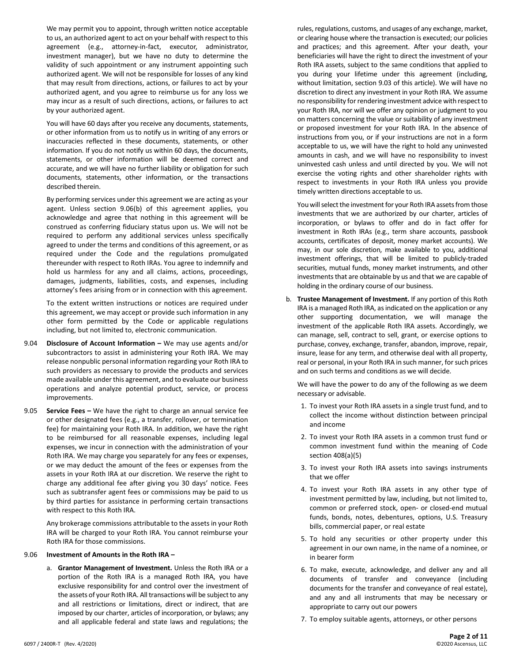We may permit you to appoint, through written notice acceptable to us, an authorized agent to act on your behalf with respect to this agreement (e.g., attorney-in-fact, executor, administrator, investment manager), but we have no duty to determine the validity of such appointment or any instrument appointing such authorized agent. We will not be responsible for losses of any kind that may result from directions, actions, or failures to act by your authorized agent, and you agree to reimburse us for any loss we may incur as a result of such directions, actions, or failures to act by your authorized agent.

You will have 60 days after you receive any documents, statements, or other information from us to notify us in writing of any errors or inaccuracies reflected in these documents, statements, or other information. If you do not notify us within 60 days, the documents, statements, or other information will be deemed correct and accurate, and we will have no further liability or obligation for such documents, statements, other information, or the transactions described therein.

By performing services under this agreement we are acting as your agent. Unless section 9.06(b) of this agreement applies, you acknowledge and agree that nothing in this agreement will be construed as conferring fiduciary status upon us. We will not be required to perform any additional services unless specifically agreed to under the terms and conditions of this agreement, or as required under the Code and the regulations promulgated thereunder with respect to Roth IRAs. You agree to indemnify and hold us harmless for any and all claims, actions, proceedings, damages, judgments, liabilities, costs, and expenses, including attorney's fees arising from or in connection with this agreement.

To the extent written instructions or notices are required under this agreement, we may accept or provide such information in any other form permitted by the Code or applicable regulations including, but not limited to, electronic communication.

- 9.04 **Disclosure of Account Information –** We may use agents and/or subcontractors to assist in administering your Roth IRA. We may release nonpublic personal information regarding your Roth IRA to such providers as necessary to provide the products and services made available under this agreement, and to evaluate our business operations and analyze potential product, service, or process improvements.
- 9.05 **Service Fees –** We have the right to charge an annual service fee or other designated fees (e.g., a transfer, rollover, or termination fee) for maintaining your Roth IRA. In addition, we have the right to be reimbursed for all reasonable expenses, including legal expenses, we incur in connection with the administration of your Roth IRA. We may charge you separately for any fees or expenses, or we may deduct the amount of the fees or expenses from the assets in your Roth IRA at our discretion. We reserve the right to charge any additional fee after giving you 30 days' notice. Fees such as subtransfer agent fees or commissions may be paid to us by third parties for assistance in performing certain transactions with respect to this Roth IRA.

Any brokerage commissions attributable to the assets in your Roth IRA will be charged to your Roth IRA. You cannot reimburse your Roth IRA for those commissions.

#### 9.06 **Investment of Amounts in the Roth IRA –**

a. **Grantor Management of Investment.** Unless the Roth IRA or a portion of the Roth IRA is a managed Roth IRA, you have exclusive responsibility for and control over the investment of the assets of your Roth IRA. All transactions will be subject to any and all restrictions or limitations, direct or indirect, that are imposed by our charter, articles of incorporation, or bylaws; any and all applicable federal and state laws and regulations; the

rules, regulations, customs, and usages of any exchange, market, or clearing house where the transaction is executed; our policies and practices; and this agreement. After your death, your beneficiaries will have the right to direct the investment of your Roth IRA assets, subject to the same conditions that applied to you during your lifetime under this agreement (including, without limitation, section 9.03 of this article). We will have no discretion to direct any investment in your Roth IRA. We assume no responsibility for rendering investment advice with respect to your Roth IRA, nor will we offer any opinion or judgment to you on matters concerning the value or suitability of any investment or proposed investment for your Roth IRA. In the absence of instructions from you, or if your instructions are not in a form acceptable to us, we will have the right to hold any uninvested amounts in cash, and we will have no responsibility to invest uninvested cash unless and until directed by you. We will not exercise the voting rights and other shareholder rights with respect to investments in your Roth IRA unless you provide timely written directions acceptable to us.

You will select the investment for your Roth IRA assets from those investments that we are authorized by our charter, articles of incorporation, or bylaws to offer and do in fact offer for investment in Roth IRAs (e.g., term share accounts, passbook accounts, certificates of deposit, money market accounts). We may, in our sole discretion, make available to you, additional investment offerings, that will be limited to publicly-traded securities, mutual funds, money market instruments, and other investments that are obtainable by us and that we are capable of holding in the ordinary course of our business.

b. **Trustee Management of Investment.** If any portion of this Roth IRA is a managed Roth IRA, as indicated on the application or any other supporting documentation, we will manage the investment of the applicable Roth IRA assets. Accordingly, we can manage, sell, contract to sell, grant, or exercise options to purchase, convey, exchange, transfer, abandon, improve, repair, insure, lease for any term, and otherwise deal with all property, real or personal, in your Roth IRA in such manner, for such prices and on such terms and conditions as we will decide.

We will have the power to do any of the following as we deem necessary or advisable.

- 1. To invest your Roth IRA assets in a single trust fund, and to collect the income without distinction between principal and income
- 2. To invest your Roth IRA assets in a common trust fund or common investment fund within the meaning of Code section 408(a)(5)
- 3. To invest your Roth IRA assets into savings instruments that we offer
- 4. To invest your Roth IRA assets in any other type of investment permitted by law, including, but not limited to, common or preferred stock, open- or closed-end mutual funds, bonds, notes, debentures, options, U.S. Treasury bills, commercial paper, or real estate
- 5. To hold any securities or other property under this agreement in our own name, in the name of a nominee, or in bearer form
- 6. To make, execute, acknowledge, and deliver any and all documents of transfer and conveyance (including documents for the transfer and conveyance of real estate), and any and all instruments that may be necessary or appropriate to carry out our powers
- 7. To employ suitable agents, attorneys, or other persons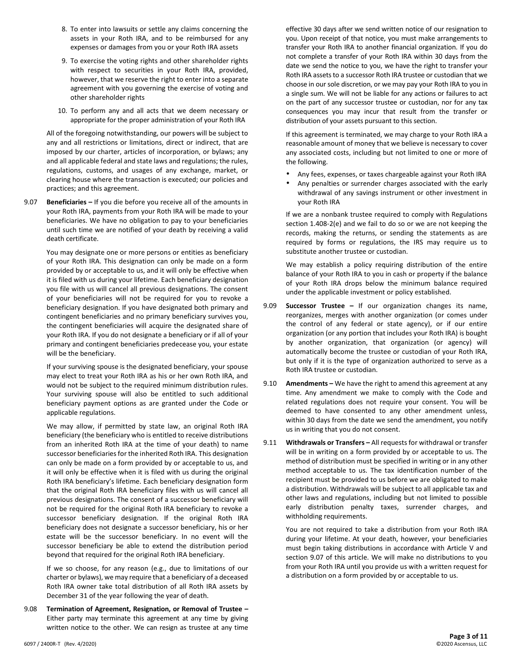- 8. To enter into lawsuits or settle any claims concerning the assets in your Roth IRA, and to be reimbursed for any expenses or damages from you or your Roth IRA assets
- 9. To exercise the voting rights and other shareholder rights with respect to securities in your Roth IRA, provided, however, that we reserve the right to enter into a separate agreement with you governing the exercise of voting and other shareholder rights
- 10. To perform any and all acts that we deem necessary or appropriate for the proper administration of your Roth IRA

All of the foregoing notwithstanding, our powers will be subject to any and all restrictions or limitations, direct or indirect, that are imposed by our charter, articles of incorporation, or bylaws; any and all applicable federal and state laws and regulations; the rules, regulations, customs, and usages of any exchange, market, or clearing house where the transaction is executed; our policies and practices; and this agreement.

9.07 **Beneficiaries –** If you die before you receive all of the amounts in your Roth IRA, payments from your Roth IRA will be made to your beneficiaries. We have no obligation to pay to your beneficiaries until such time we are notified of your death by receiving a valid death certificate.

> You may designate one or more persons or entities as beneficiary of your Roth IRA. This designation can only be made on a form provided by or acceptable to us, and it will only be effective when it is filed with us during your lifetime. Each beneficiary designation you file with us will cancel all previous designations. The consent of your beneficiaries will not be required for you to revoke a beneficiary designation. If you have designated both primary and contingent beneficiaries and no primary beneficiary survives you, the contingent beneficiaries will acquire the designated share of your Roth IRA. If you do not designate a beneficiary or if all of your primary and contingent beneficiaries predecease you, your estate will be the beneficiary.

> If your surviving spouse is the designated beneficiary, your spouse may elect to treat your Roth IRA as his or her own Roth IRA, and would not be subject to the required minimum distribution rules. Your surviving spouse will also be entitled to such additional beneficiary payment options as are granted under the Code or applicable regulations.

> We may allow, if permitted by state law, an original Roth IRA beneficiary (the beneficiary who is entitled to receive distributions from an inherited Roth IRA at the time of your death) to name successor beneficiaries for the inherited Roth IRA. This designation can only be made on a form provided by or acceptable to us, and it will only be effective when it is filed with us during the original Roth IRA beneficiary's lifetime. Each beneficiary designation form that the original Roth IRA beneficiary files with us will cancel all previous designations. The consent of a successor beneficiary will not be required for the original Roth IRA beneficiary to revoke a successor beneficiary designation. If the original Roth IRA beneficiary does not designate a successor beneficiary, his or her estate will be the successor beneficiary. In no event will the successor beneficiary be able to extend the distribution period beyond that required for the original Roth IRA beneficiary.

> If we so choose, for any reason (e.g., due to limitations of our charter or bylaws), we may require that a beneficiary of a deceased Roth IRA owner take total distribution of all Roth IRA assets by December 31 of the year following the year of death.

9.08 **Termination of Agreement, Resignation, or Removal of Trustee –** Either party may terminate this agreement at any time by giving written notice to the other. We can resign as trustee at any time

effective 30 days after we send written notice of our resignation to you. Upon receipt of that notice, you must make arrangements to transfer your Roth IRA to another financial organization. If you do not complete a transfer of your Roth IRA within 30 days from the date we send the notice to you, we have the right to transfer your Roth IRA assets to a successor Roth IRA trustee or custodian that we choose in our sole discretion, or we may pay your Roth IRA to you in a single sum. We will not be liable for any actions or failures to act on the part of any successor trustee or custodian, nor for any tax consequences you may incur that result from the transfer or distribution of your assets pursuant to this section.

If this agreement is terminated, we may charge to your Roth IRA a reasonable amount of money that we believe is necessary to cover any associated costs, including but not limited to one or more of the following.

- Any fees, expenses, or taxes chargeable against your Roth IRA
- Any penalties or surrender charges associated with the early withdrawal of any savings instrument or other investment in your Roth IRA

If we are a nonbank trustee required to comply with Regulations section 1.408-2(e) and we fail to do so or we are not keeping the records, making the returns, or sending the statements as are required by forms or regulations, the IRS may require us to substitute another trustee or custodian.

We may establish a policy requiring distribution of the entire balance of your Roth IRA to you in cash or property if the balance of your Roth IRA drops below the minimum balance required under the applicable investment or policy established.

- 9.09 **Successor Trustee –** If our organization changes its name, reorganizes, merges with another organization (or comes under the control of any federal or state agency), or if our entire organization (or any portion that includes your Roth IRA) is bought by another organization, that organization (or agency) will automatically become the trustee or custodian of your Roth IRA, but only if it is the type of organization authorized to serve as a Roth IRA trustee or custodian.
- 9.10 **Amendments –** We have the right to amend this agreement at any time. Any amendment we make to comply with the Code and related regulations does not require your consent. You will be deemed to have consented to any other amendment unless, within 30 days from the date we send the amendment, you notify us in writing that you do not consent.
- 9.11 **Withdrawals or Transfers –** All requests for withdrawal or transfer will be in writing on a form provided by or acceptable to us. The method of distribution must be specified in writing or in any other method acceptable to us. The tax identification number of the recipient must be provided to us before we are obligated to make a distribution. Withdrawals will be subject to all applicable tax and other laws and regulations, including but not limited to possible early distribution penalty taxes, surrender charges, and withholding requirements.

You are not required to take a distribution from your Roth IRA during your lifetime. At your death, however, your beneficiaries must begin taking distributions in accordance with Article V and section 9.07 of this article. We will make no distributions to you from your Roth IRA until you provide us with a written request for a distribution on a form provided by or acceptable to us.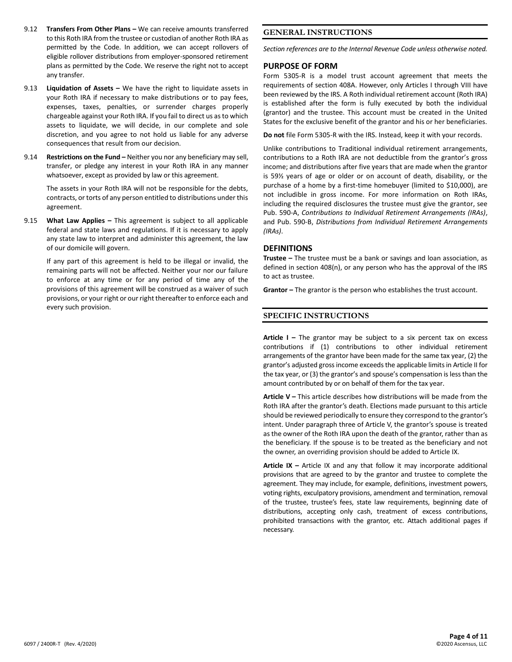- 9.12 **Transfers From Other Plans –** We can receive amounts transferred to this Roth IRA from the trustee or custodian of another Roth IRA as permitted by the Code. In addition, we can accept rollovers of eligible rollover distributions from employer-sponsored retirement plans as permitted by the Code. We reserve the right not to accept any transfer.
- 9.13 **Liquidation of Assets –** We have the right to liquidate assets in your Roth IRA if necessary to make distributions or to pay fees, expenses, taxes, penalties, or surrender charges properly chargeable against your Roth IRA. If you fail to direct us as to which assets to liquidate, we will decide, in our complete and sole discretion, and you agree to not hold us liable for any adverse consequences that result from our decision.
- 9.14 **Restrictions on the Fund –** Neither you nor any beneficiary may sell, transfer, or pledge any interest in your Roth IRA in any manner whatsoever, except as provided by law or this agreement.

The assets in your Roth IRA will not be responsible for the debts, contracts, or torts of any person entitled to distributions under this agreement.

9.15 **What Law Applies –** This agreement is subject to all applicable federal and state laws and regulations. If it is necessary to apply any state law to interpret and administer this agreement, the law of our domicile will govern.

If any part of this agreement is held to be illegal or invalid, the remaining parts will not be affected. Neither your nor our failure to enforce at any time or for any period of time any of the provisions of this agreement will be construed as a waiver of such provisions, or your right or our right thereafter to enforce each and every such provision.

## **GENERAL INSTRUCTIONS**

*Section references are to the Internal Revenue Code unless otherwise noted.*

#### **PURPOSE OF FORM**

Form 5305-R is a model trust account agreement that meets the requirements of section 408A. However, only Articles I through VIII have been reviewed by the IRS. A Roth individual retirement account (Roth IRA) is established after the form is fully executed by both the individual (grantor) and the trustee. This account must be created in the United States for the exclusive benefit of the grantor and his or her beneficiaries.

**Do not** file Form 5305-R with the IRS. Instead, keep it with your records.

Unlike contributions to Traditional individual retirement arrangements, contributions to a Roth IRA are not deductible from the grantor's gross income; and distributions after five years that are made when the grantor is 59½ years of age or older or on account of death, disability, or the purchase of a home by a first-time homebuyer (limited to \$10,000), are not includible in gross income. For more information on Roth IRAs, including the required disclosures the trustee must give the grantor, see Pub. 590-A, *Contributions to Individual Retirement Arrangements (IRAs)*, and Pub. 590-B, *Distributions from Individual Retirement Arrangements (IRAs)*.

#### **DEFINITIONS**

**Trustee –** The trustee must be a bank or savings and loan association, as defined in section 408(n), or any person who has the approval of the IRS to act as trustee.

**Grantor –** The grantor is the person who establishes the trust account.

#### **SPECIFIC INSTRUCTIONS**

**Article I –** The grantor may be subject to a six percent tax on excess contributions if (1) contributions to other individual retirement arrangements of the grantor have been made for the same tax year, (2) the grantor's adjusted gross income exceeds the applicable limits in Article II for the tax year, or (3) the grantor's and spouse's compensation is less than the amount contributed by or on behalf of them for the tax year.

**Article V –** This article describes how distributions will be made from the Roth IRA after the grantor's death. Elections made pursuant to this article should be reviewed periodically to ensure they correspond to the grantor's intent. Under paragraph three of Article V, the grantor's spouse is treated as the owner of the Roth IRA upon the death of the grantor, rather than as the beneficiary. If the spouse is to be treated as the beneficiary and not the owner, an overriding provision should be added to Article IX.

**Article IX –** Article IX and any that follow it may incorporate additional provisions that are agreed to by the grantor and trustee to complete the agreement. They may include, for example, definitions, investment powers, voting rights, exculpatory provisions, amendment and termination, removal of the trustee, trustee's fees, state law requirements, beginning date of distributions, accepting only cash, treatment of excess contributions, prohibited transactions with the grantor, etc. Attach additional pages if necessary.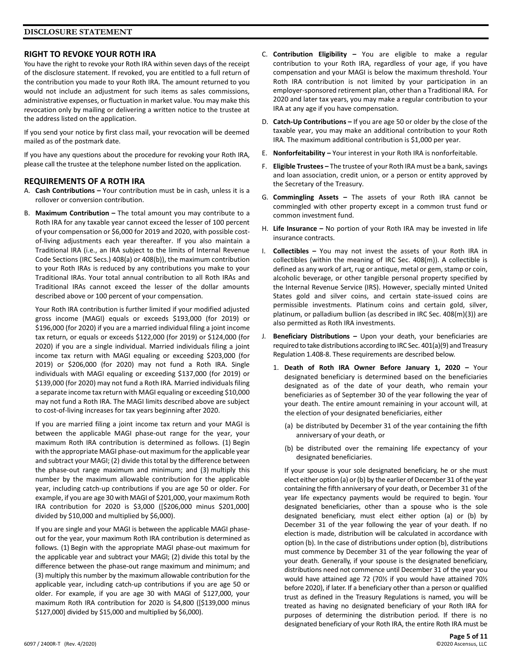# **RIGHT TO REVOKE YOUR ROTH IRA**

You have the right to revoke your Roth IRA within seven days of the receipt of the disclosure statement. If revoked, you are entitled to a full return of the contribution you made to your Roth IRA. The amount returned to you would not include an adjustment for such items as sales commissions, administrative expenses, or fluctuation in market value. You may make this revocation only by mailing or delivering a written notice to the trustee at the address listed on the application.

If you send your notice by first class mail, your revocation will be deemed mailed as of the postmark date.

If you have any questions about the procedure for revoking your Roth IRA, please call the trustee at the telephone number listed on the application.

## **REQUIREMENTS OF A ROTH IRA**

- A. **Cash Contributions –** Your contribution must be in cash, unless it is a rollover or conversion contribution.
- B. **Maximum Contribution –** The total amount you may contribute to a Roth IRA for any taxable year cannot exceed the lesser of 100 percent of your compensation or \$6,000 for 2019 and 2020, with possible costof-living adjustments each year thereafter. If you also maintain a Traditional IRA (i.e., an IRA subject to the limits of Internal Revenue Code Sections (IRC Secs.) 408(a) or 408(b)), the maximum contribution to your Roth IRAs is reduced by any contributions you make to your Traditional IRAs. Your total annual contribution to all Roth IRAs and Traditional IRAs cannot exceed the lesser of the dollar amounts described above or 100 percent of your compensation.

Your Roth IRA contribution is further limited if your modified adjusted gross income (MAGI) equals or exceeds \$193,000 (for 2019) or \$196,000 (for 2020) if you are a married individual filing a joint income tax return, or equals or exceeds \$122,000 (for 2019) or \$124,000 (for 2020) if you are a single individual. Married individuals filing a joint income tax return with MAGI equaling or exceeding \$203,000 (for 2019) or \$206,000 (for 2020) may not fund a Roth IRA. Single individuals with MAGI equaling or exceeding \$137,000 (for 2019) or \$139,000 (for 2020) may not fund a Roth IRA. Married individuals filing a separate income tax return with MAGI equaling or exceeding \$10,000 may not fund a Roth IRA. The MAGI limits described above are subject to cost-of-living increases for tax years beginning after 2020.

If you are married filing a joint income tax return and your MAGI is between the applicable MAGI phase-out range for the year, your maximum Roth IRA contribution is determined as follows. (1) Begin with the appropriate MAGI phase-out maximum for the applicable year and subtract your MAGI; (2) divide this total by the difference between the phase-out range maximum and minimum; and (3) multiply this number by the maximum allowable contribution for the applicable year, including catch-up contributions if you are age 50 or older. For example, if you are age 30 with MAGI of \$201,000, your maximum Roth IRA contribution for 2020 is \$3,000 ([\$206,000 minus \$201,000] divided by \$10,000 and multiplied by \$6,000).

If you are single and your MAGI is between the applicable MAGI phaseout for the year, your maximum Roth IRA contribution is determined as follows. (1) Begin with the appropriate MAGI phase-out maximum for the applicable year and subtract your MAGI; (2) divide this total by the difference between the phase-out range maximum and minimum; and (3) multiply this number by the maximum allowable contribution for the applicable year, including catch-up contributions if you are age 50 or older. For example, if you are age 30 with MAGI of \$127,000, your maximum Roth IRA contribution for 2020 is \$4,800 ([\$139,000 minus \$127,000] divided by \$15,000 and multiplied by \$6,000).

- C. **Contribution Eligibility –** You are eligible to make a regular contribution to your Roth IRA, regardless of your age, if you have compensation and your MAGI is below the maximum threshold. Your Roth IRA contribution is not limited by your participation in an employer-sponsored retirement plan, other than a Traditional IRA. For 2020 and later tax years, you may make a regular contribution to your IRA at any age if you have compensation.
- D. **Catch-Up Contributions –** If you are age 50 or older by the close of the taxable year, you may make an additional contribution to your Roth IRA. The maximum additional contribution is \$1,000 per year.
- E. **Nonforfeitability –** Your interest in your Roth IRA is nonforfeitable.
- F. **Eligible Trustees –** The trustee of your Roth IRA must be a bank, savings and loan association, credit union, or a person or entity approved by the Secretary of the Treasury.
- G. **Commingling Assets –** The assets of your Roth IRA cannot be commingled with other property except in a common trust fund or common investment fund.
- H. **Life Insurance –** No portion of your Roth IRA may be invested in life insurance contracts.
- I. **Collectibles –** You may not invest the assets of your Roth IRA in collectibles (within the meaning of IRC Sec. 408(m)). A collectible is defined as any work of art, rug or antique, metal or gem, stamp or coin, alcoholic beverage, or other tangible personal property specified by the Internal Revenue Service (IRS). However, specially minted United States gold and silver coins, and certain state-issued coins are permissible investments. Platinum coins and certain gold, silver, platinum, or palladium bullion (as described in IRC Sec. 408(m)(3)) are also permitted as Roth IRA investments.
- J. **Beneficiary Distributions –** Upon your death, your beneficiaries are required to take distributions according to IRC Sec. 401(a)(9) and Treasury Regulation 1.408-8. These requirements are described below.
	- 1. **Death of Roth IRA Owner Before January 1, 2020 –** Your designated beneficiary is determined based on the beneficiaries designated as of the date of your death, who remain your beneficiaries as of September 30 of the year following the year of your death. The entire amount remaining in your account will, at the election of your designated beneficiaries, either
		- (a) be distributed by December 31 of the year containing the fifth anniversary of your death, or
		- (b) be distributed over the remaining life expectancy of your designated beneficiaries.

If your spouse is your sole designated beneficiary, he or she must elect either option (a) or (b) by the earlier of December 31 of the year containing the fifth anniversary of your death, or December 31 of the year life expectancy payments would be required to begin. Your designated beneficiaries, other than a spouse who is the sole designated beneficiary, must elect either option (a) or (b) by December 31 of the year following the year of your death. If no election is made, distribution will be calculated in accordance with option (b). In the case of distributions under option (b), distributions must commence by December 31 of the year following the year of your death. Generally, if your spouse is the designated beneficiary, distributions need not commence until December 31 of the year you would have attained age 72 (70½ if you would have attained 70½ before 2020), if later. If a beneficiary other than a person or qualified trust as defined in the Treasury Regulations is named, you will be treated as having no designated beneficiary of your Roth IRA for purposes of determining the distribution period. If there is no designated beneficiary of your Roth IRA, the entire Roth IRA must be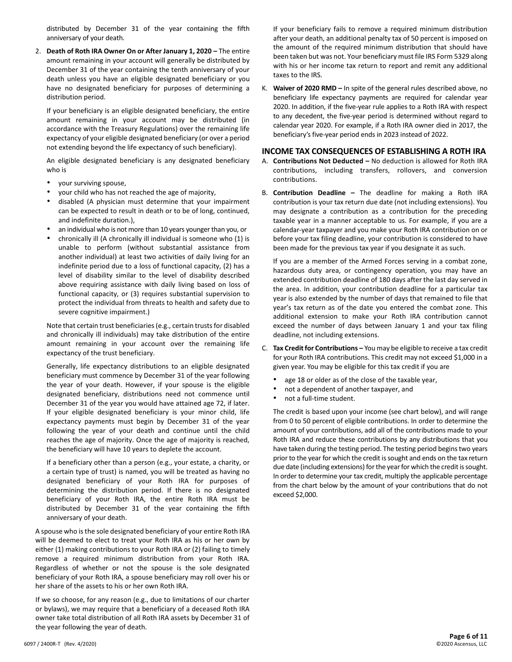distributed by December 31 of the year containing the fifth anniversary of your death.

2. **Death of Roth IRA Owner On or After January 1, 2020 –** The entire amount remaining in your account will generally be distributed by December 31 of the year containing the tenth anniversary of your death unless you have an eligible designated beneficiary or you have no designated beneficiary for purposes of determining a distribution period.

If your beneficiary is an eligible designated beneficiary, the entire amount remaining in your account may be distributed (in accordance with the Treasury Regulations) over the remaining life expectancy of your eligible designated beneficiary (or over a period not extending beyond the life expectancy of such beneficiary).

An eligible designated beneficiary is any designated beneficiary who is

- your surviving spouse,
- your child who has not reached the age of majority,
- disabled (A physician must determine that your impairment can be expected to result in death or to be of long, continued, and indefinite duration.),
- an individual who is not more than 10 years younger than you, or
- chronically ill (A chronically ill individual is someone who (1) is unable to perform (without substantial assistance from another individual) at least two activities of daily living for an indefinite period due to a loss of functional capacity, (2) has a level of disability similar to the level of disability described above requiring assistance with daily living based on loss of functional capacity, or (3) requires substantial supervision to protect the individual from threats to health and safety due to severe cognitive impairment.)

Note that certain trust beneficiaries (e.g., certain trusts for disabled and chronically ill individuals) may take distribution of the entire amount remaining in your account over the remaining life expectancy of the trust beneficiary.

Generally, life expectancy distributions to an eligible designated beneficiary must commence by December 31 of the year following the year of your death. However, if your spouse is the eligible designated beneficiary, distributions need not commence until December 31 of the year you would have attained age 72, if later. If your eligible designated beneficiary is your minor child, life expectancy payments must begin by December 31 of the year following the year of your death and continue until the child reaches the age of majority. Once the age of majority is reached, the beneficiary will have 10 years to deplete the account.

If a beneficiary other than a person (e.g., your estate, a charity, or a certain type of trust) is named, you will be treated as having no designated beneficiary of your Roth IRA for purposes of determining the distribution period. If there is no designated beneficiary of your Roth IRA, the entire Roth IRA must be distributed by December 31 of the year containing the fifth anniversary of your death.

A spouse who is the sole designated beneficiary of your entire Roth IRA will be deemed to elect to treat your Roth IRA as his or her own by either (1) making contributions to your Roth IRA or (2) failing to timely remove a required minimum distribution from your Roth IRA. Regardless of whether or not the spouse is the sole designated beneficiary of your Roth IRA, a spouse beneficiary may roll over his or her share of the assets to his or her own Roth IRA.

If we so choose, for any reason (e.g., due to limitations of our charter or bylaws), we may require that a beneficiary of a deceased Roth IRA owner take total distribution of all Roth IRA assets by December 31 of the year following the year of death.

If your beneficiary fails to remove a required minimum distribution after your death, an additional penalty tax of 50 percent is imposed on the amount of the required minimum distribution that should have been taken but was not. Your beneficiary must file IRS Form 5329 along with his or her income tax return to report and remit any additional taxes to the IRS.

K. **Waiver of 2020 RMD –** In spite of the general rules described above, no beneficiary life expectancy payments are required for calendar year 2020. In addition, if the five-year rule applies to a Roth IRA with respect to any decedent, the five-year period is determined without regard to calendar year 2020. For example, if a Roth IRA owner died in 2017, the beneficiary's five-year period ends in 2023 instead of 2022.

#### **INCOME TAX CONSEQUENCES OF ESTABLISHING A ROTH IRA**

- A. **Contributions Not Deducted –** No deduction is allowed for Roth IRA contributions, including transfers, rollovers, and conversion contributions.
- B. **Contribution Deadline –** The deadline for making a Roth IRA contribution is your tax return due date (not including extensions). You may designate a contribution as a contribution for the preceding taxable year in a manner acceptable to us. For example, if you are a calendar-year taxpayer and you make your Roth IRA contribution on or before your tax filing deadline, your contribution is considered to have been made for the previous tax year if you designate it as such.

If you are a member of the Armed Forces serving in a combat zone, hazardous duty area, or contingency operation, you may have an extended contribution deadline of 180 days after the last day served in the area. In addition, your contribution deadline for a particular tax year is also extended by the number of days that remained to file that year's tax return as of the date you entered the combat zone. This additional extension to make your Roth IRA contribution cannot exceed the number of days between January 1 and your tax filing deadline, not including extensions.

- C. **Tax Credit for Contributions –** You may be eligible to receive a tax credit for your Roth IRA contributions. This credit may not exceed \$1,000 in a given year. You may be eligible for this tax credit if you are
	- age 18 or older as of the close of the taxable year,
	- not a dependent of another taxpayer, and
	- not a full-time student.

The credit is based upon your income (see chart below), and will range from 0 to 50 percent of eligible contributions. In order to determine the amount of your contributions, add all of the contributions made to your Roth IRA and reduce these contributions by any distributions that you have taken during the testing period. The testing period begins two years prior to the year for which the credit is sought and ends on the tax return due date (including extensions) for the year for which the credit is sought. In order to determine your tax credit, multiply the applicable percentage from the chart below by the amount of your contributions that do not exceed \$2,000.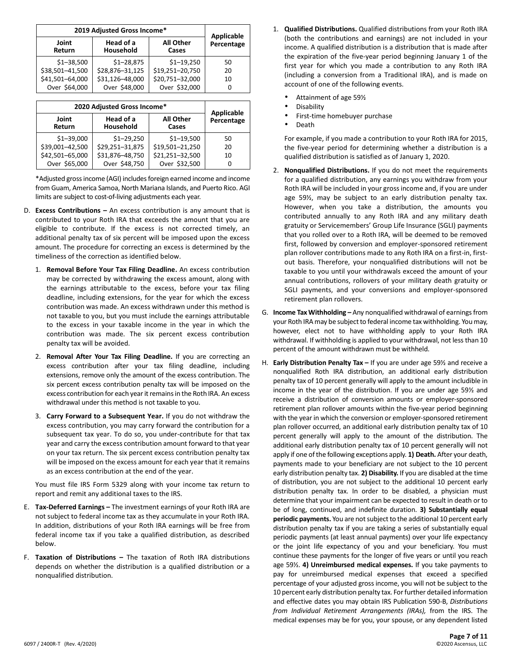| 2019 Adjusted Gross Income* | <b>Applicable</b>      |                    |            |
|-----------------------------|------------------------|--------------------|------------|
| Joint<br>Return             | Head of a<br>Household | All Other<br>Cases | Percentage |
| $$1 - 38,500$               | $$1 - 28,875$          | $$1 - 19,250$      | 50         |
| \$38,501-41,500             | \$28,876-31,125        | \$19,251-20,750    | 20         |
| \$41,501-64,000             | \$31,126-48,000        | \$20,751-32,000    | 10         |
| Over \$64,000               | Over \$48,000          | Over \$32,000      | n          |

| 2020 Adjusted Gross Income* | <b>Applicable</b>      |                    |            |
|-----------------------------|------------------------|--------------------|------------|
| Joint<br>Return             | Head of a<br>Household | All Other<br>Cases | Percentage |
| $$1 - 39,000$               | $$1 - 29,250$          | $$1 - 19,500$      | 50         |
| \$39,001-42,500             | \$29,251-31,875        | \$19,501-21,250    | 20         |
| \$42,501-65,000             | \$31,876-48,750        | \$21,251-32,500    | 10         |
| Over \$65,000               | Over \$48,750          | Over \$32,500      |            |

\*Adjusted gross income (AGI) includes foreign earned income and income from Guam, America Samoa, North Mariana Islands, and Puerto Rico. AGI limits are subject to cost-of-living adjustments each year.

- D. **Excess Contributions –** An excess contribution is any amount that is contributed to your Roth IRA that exceeds the amount that you are eligible to contribute. If the excess is not corrected timely, an additional penalty tax of six percent will be imposed upon the excess amount. The procedure for correcting an excess is determined by the timeliness of the correction as identified below.
	- 1. **Removal Before Your Tax Filing Deadline.** An excess contribution may be corrected by withdrawing the excess amount, along with the earnings attributable to the excess, before your tax filing deadline, including extensions, for the year for which the excess contribution was made. An excess withdrawn under this method is not taxable to you, but you must include the earnings attributable to the excess in your taxable income in the year in which the contribution was made. The six percent excess contribution penalty tax will be avoided.
	- 2. **Removal After Your Tax Filing Deadline.** If you are correcting an excess contribution after your tax filing deadline, including extensions, remove only the amount of the excess contribution. The six percent excess contribution penalty tax will be imposed on the excess contribution for each year it remains in the Roth IRA. An excess withdrawal under this method is not taxable to you.
	- 3. **Carry Forward to a Subsequent Year.** If you do not withdraw the excess contribution, you may carry forward the contribution for a subsequent tax year. To do so, you under-contribute for that tax year and carry the excess contribution amount forward to that year on your tax return. The six percent excess contribution penalty tax will be imposed on the excess amount for each year that it remains as an excess contribution at the end of the year.

You must file IRS Form 5329 along with your income tax return to report and remit any additional taxes to the IRS.

- E. **Tax-Deferred Earnings –** The investment earnings of your Roth IRA are not subject to federal income tax as they accumulate in your Roth IRA. In addition, distributions of your Roth IRA earnings will be free from federal income tax if you take a qualified distribution, as described below.
- F. **Taxation of Distributions –** The taxation of Roth IRA distributions depends on whether the distribution is a qualified distribution or a nonqualified distribution.
- 1. **Qualified Distributions.** Qualified distributions from your Roth IRA (both the contributions and earnings) are not included in your income. A qualified distribution is a distribution that is made after the expiration of the five-year period beginning January 1 of the first year for which you made a contribution to any Roth IRA (including a conversion from a Traditional IRA), and is made on account of one of the following events.
	- Attainment of age 59½
	- **Disability**
	- First-time homebuyer purchase
	- Death

For example, if you made a contribution to your Roth IRA for 2015, the five-year period for determining whether a distribution is a qualified distribution is satisfied as of January 1, 2020.

- 2. **Nonqualified Distributions.** If you do not meet the requirements for a qualified distribution, any earnings you withdraw from your Roth IRA will be included in your gross income and, if you are under age 59½, may be subject to an early distribution penalty tax. However, when you take a distribution, the amounts you contributed annually to any Roth IRA and any military death gratuity or Servicemembers' Group Life Insurance (SGLI) payments that you rolled over to a Roth IRA, will be deemed to be removed first, followed by conversion and employer-sponsored retirement plan rollover contributions made to any Roth IRA on a first-in, firstout basis. Therefore, your nonqualified distributions will not be taxable to you until your withdrawals exceed the amount of your annual contributions, rollovers of your military death gratuity or SGLI payments, and your conversions and employer-sponsored retirement plan rollovers.
- G. **Income Tax Withholding –** Any nonqualified withdrawal of earningsfrom your Roth IRA may be subject to federal income tax withholding. You may, however, elect not to have withholding apply to your Roth IRA withdrawal. If withholding is applied to your withdrawal, not less than 10 percent of the amount withdrawn must be withheld.
- H. **Early Distribution Penalty Tax –** If you are under age 59½ and receive a nonqualified Roth IRA distribution, an additional early distribution penalty tax of 10 percent generally will apply to the amount includible in income in the year of the distribution. If you are under age 59½ and receive a distribution of conversion amounts or employer-sponsored retirement plan rollover amounts within the five-year period beginning with the year in which the conversion or employer-sponsored retirement plan rollover occurred, an additional early distribution penalty tax of 10 percent generally will apply to the amount of the distribution. The additional early distribution penalty tax of 10 percent generally will not apply if one of the following exceptions apply. **1) Death.** After your death, payments made to your beneficiary are not subject to the 10 percent early distribution penalty tax. **2) Disability.** If you are disabled at the time of distribution, you are not subject to the additional 10 percent early distribution penalty tax. In order to be disabled, a physician must determine that your impairment can be expected to result in death or to be of long, continued, and indefinite duration. **3) Substantially equal**  periodic payments. You are not subject to the additional 10 percent early distribution penalty tax if you are taking a series of substantially equal periodic payments (at least annual payments) over your life expectancy or the joint life expectancy of you and your beneficiary. You must continue these payments for the longer of five years or until you reach age 59½. **4) Unreimbursed medical expenses.** If you take payments to pay for unreimbursed medical expenses that exceed a specified percentage of your adjusted gross income, you will not be subject to the 10 percent early distribution penalty tax. For further detailed information and effective dates you may obtain IRS Publication 590-B, *Distributions from Individual Retirement Arrangements (IRAs),* from the IRS. The medical expenses may be for you, your spouse, or any dependent listed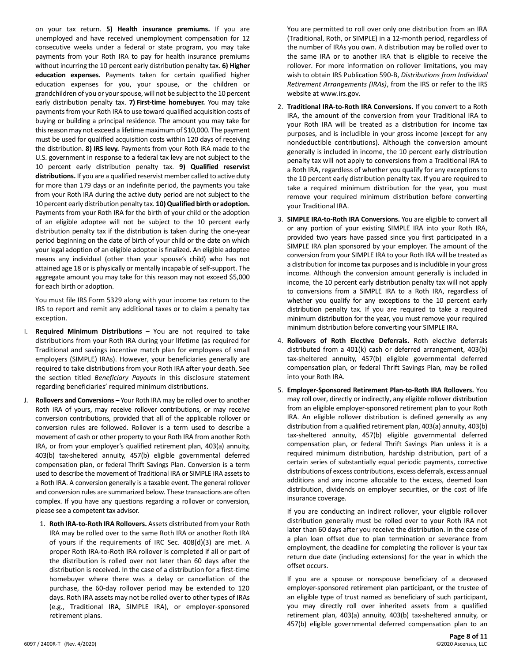on your tax return. **5) Health insurance premiums.** If you are unemployed and have received unemployment compensation for 12 consecutive weeks under a federal or state program, you may take payments from your Roth IRA to pay for health insurance premiums without incurring the 10 percent early distribution penalty tax. **6) Higher education expenses.** Payments taken for certain qualified higher education expenses for you, your spouse, or the children or grandchildren of you or your spouse, will not be subject to the 10 percent early distribution penalty tax. **7) First-time homebuyer.** You may take payments from your Roth IRA to use toward qualified acquisition costs of buying or building a principal residence. The amount you may take for this reason may not exceed a lifetime maximum of \$10,000. The payment must be used for qualified acquisition costs within 120 days of receiving the distribution. **8) IRS levy.** Payments from your Roth IRA made to the U.S. government in response to a federal tax levy are not subject to the 10 percent early distribution penalty tax. **9) Qualified reservist distributions.** If you are a qualified reservist member called to active duty for more than 179 days or an indefinite period, the payments you take from your Roth IRA during the active duty period are not subject to the 10 percent early distribution penalty tax. **10) Qualified birth or adoption.** Payments from your Roth IRA for the birth of your child or the adoption of an eligible adoptee will not be subject to the 10 percent early distribution penalty tax if the distribution is taken during the one-year period beginning on the date of birth of your child or the date on which your legal adoption of an eligible adoptee is finalized. An eligible adoptee means any individual (other than your spouse's child) who has not attained age 18 or is physically or mentally incapable of self-support. The aggregate amount you may take for this reason may not exceed \$5,000 for each birth or adoption.

You must file IRS Form 5329 along with your income tax return to the IRS to report and remit any additional taxes or to claim a penalty tax exception.

- I. **Required Minimum Distributions –** You are not required to take distributions from your Roth IRA during your lifetime (as required for Traditional and savings incentive match plan for employees of small employers (SIMPLE) IRAs). However, your beneficiaries generally are required to take distributions from your Roth IRA after your death. See the section titled *Beneficiary Payouts* in this disclosure statement regarding beneficiaries' required minimum distributions.
- J. **Rollovers and Conversions –** Your Roth IRA may be rolled over to another Roth IRA of yours, may receive rollover contributions, or may receive conversion contributions, provided that all of the applicable rollover or conversion rules are followed. Rollover is a term used to describe a movement of cash or other property to your Roth IRA from another Roth IRA, or from your employer's qualified retirement plan, 403(a) annuity, 403(b) tax-sheltered annuity, 457(b) eligible governmental deferred compensation plan, or federal Thrift Savings Plan. Conversion is a term used to describe the movement of Traditional IRA or SIMPLE IRA assets to a Roth IRA. A conversion generally is a taxable event. The general rollover and conversion rules are summarized below. These transactions are often complex. If you have any questions regarding a rollover or conversion, please see a competent tax advisor.
	- 1. **Roth IRA-to-Roth IRA Rollovers.** Assets distributed from your Roth IRA may be rolled over to the same Roth IRA or another Roth IRA of yours if the requirements of IRC Sec. 408(d)(3) are met. A proper Roth IRA-to-Roth IRA rollover is completed if all or part of the distribution is rolled over not later than 60 days after the distribution is received. In the case of a distribution for a first-time homebuyer where there was a delay or cancellation of the purchase, the 60-day rollover period may be extended to 120 days. Roth IRA assets may not be rolled over to other types of IRAs (e.g., Traditional IRA, SIMPLE IRA), or employer-sponsored retirement plans.

You are permitted to roll over only one distribution from an IRA (Traditional, Roth, or SIMPLE) in a 12-month period, regardless of the number of IRAs you own. A distribution may be rolled over to the same IRA or to another IRA that is eligible to receive the rollover. For more information on rollover limitations, you may wish to obtain IRS Publication 590-B, *Distributions from Individual Retirement Arrangements (IRAs)*, from the IRS or refer to the IRS website at www.irs.gov.

- 2. **Traditional IRA-to-Roth IRA Conversions.** If you convert to a Roth IRA, the amount of the conversion from your Traditional IRA to your Roth IRA will be treated as a distribution for income tax purposes, and is includible in your gross income (except for any nondeductible contributions). Although the conversion amount generally is included in income, the 10 percent early distribution penalty tax will not apply to conversions from a Traditional IRA to a Roth IRA, regardless of whether you qualify for any exceptions to the 10 percent early distribution penalty tax. If you are required to take a required minimum distribution for the year, you must remove your required minimum distribution before converting your Traditional IRA.
- 3. **SIMPLE IRA-to-Roth IRA Conversions.** You are eligible to convert all or any portion of your existing SIMPLE IRA into your Roth IRA, provided two years have passed since you first participated in a SIMPLE IRA plan sponsored by your employer. The amount of the conversion from your SIMPLE IRA to your Roth IRA will be treated as a distribution for income tax purposes and is includible in your gross income. Although the conversion amount generally is included in income, the 10 percent early distribution penalty tax will not apply to conversions from a SIMPLE IRA to a Roth IRA, regardless of whether you qualify for any exceptions to the 10 percent early distribution penalty tax. If you are required to take a required minimum distribution for the year, you must remove your required minimum distribution before converting your SIMPLE IRA.
- 4. **Rollovers of Roth Elective Deferrals.** Roth elective deferrals distributed from a 401(k) cash or deferred arrangement, 403(b) tax-sheltered annuity, 457(b) eligible governmental deferred compensation plan, or federal Thrift Savings Plan, may be rolled into your Roth IRA.
- 5. **Employer-Sponsored Retirement Plan-to-Roth IRA Rollovers.** You may roll over, directly or indirectly, any eligible rollover distribution from an eligible employer-sponsored retirement plan to your Roth IRA. An eligible rollover distribution is defined generally as any distribution from a qualified retirement plan, 403(a) annuity, 403(b) tax-sheltered annuity, 457(b) eligible governmental deferred compensation plan, or federal Thrift Savings Plan unless it is a required minimum distribution, hardship distribution, part of a certain series of substantially equal periodic payments, corrective distributions of excess contributions, excess deferrals, excess annual additions and any income allocable to the excess, deemed loan distribution, dividends on employer securities, or the cost of life insurance coverage.

If you are conducting an indirect rollover, your eligible rollover distribution generally must be rolled over to your Roth IRA not later than 60 days after you receive the distribution. In the case of a plan loan offset due to plan termination or severance from employment, the deadline for completing the rollover is your tax return due date (including extensions) for the year in which the offset occurs.

If you are a spouse or nonspouse beneficiary of a deceased employer-sponsored retirement plan participant, or the trustee of an eligible type of trust named as beneficiary of such participant, you may directly roll over inherited assets from a qualified retirement plan, 403(a) annuity, 403(b) tax-sheltered annuity, or 457(b) eligible governmental deferred compensation plan to an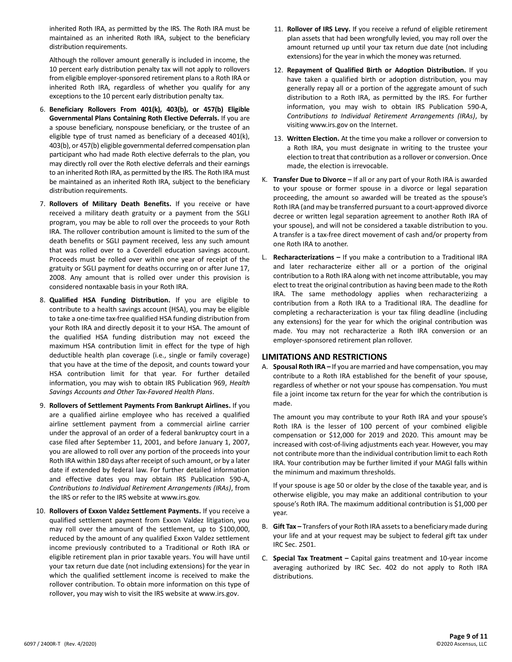inherited Roth IRA, as permitted by the IRS. The Roth IRA must be maintained as an inherited Roth IRA, subject to the beneficiary distribution requirements.

Although the rollover amount generally is included in income, the 10 percent early distribution penalty tax will not apply to rollovers from eligible employer-sponsored retirement plans to a Roth IRA or inherited Roth IRA, regardless of whether you qualify for any exceptions to the 10 percent early distribution penalty tax.

- 6. **Beneficiary Rollovers From 401(k), 403(b), or 457(b) Eligible Governmental Plans Containing Roth Elective Deferrals.** If you are a spouse beneficiary, nonspouse beneficiary, or the trustee of an eligible type of trust named as beneficiary of a deceased 401(k), 403(b), or 457(b) eligible governmental deferred compensation plan participant who had made Roth elective deferrals to the plan, you may directly roll over the Roth elective deferrals and their earnings to an inherited Roth IRA, as permitted by the IRS. The Roth IRA must be maintained as an inherited Roth IRA, subject to the beneficiary distribution requirements.
- 7. **Rollovers of Military Death Benefits.** If you receive or have received a military death gratuity or a payment from the SGLI program, you may be able to roll over the proceeds to your Roth IRA. The rollover contribution amount is limited to the sum of the death benefits or SGLI payment received, less any such amount that was rolled over to a Coverdell education savings account. Proceeds must be rolled over within one year of receipt of the gratuity or SGLI payment for deaths occurring on or after June 17, 2008. Any amount that is rolled over under this provision is considered nontaxable basis in your Roth IRA.
- 8. **Qualified HSA Funding Distribution.** If you are eligible to contribute to a health savings account (HSA), you may be eligible to take a one-time tax-free qualified HSA funding distribution from your Roth IRA and directly deposit it to your HSA. The amount of the qualified HSA funding distribution may not exceed the maximum HSA contribution limit in effect for the type of high deductible health plan coverage (i.e., single or family coverage) that you have at the time of the deposit, and counts toward your HSA contribution limit for that year. For further detailed information, you may wish to obtain IRS Publication 969, *Health Savings Accounts and Other Tax-Favored Health Plans*.
- 9. **Rollovers of Settlement Payments From Bankrupt Airlines.** If you are a qualified airline employee who has received a qualified airline settlement payment from a commercial airline carrier under the approval of an order of a federal bankruptcy court in a case filed after September 11, 2001, and before January 1, 2007, you are allowed to roll over any portion of the proceeds into your Roth IRA within 180 days after receipt of such amount, or by a later date if extended by federal law. For further detailed information and effective dates you may obtain IRS Publication 590-A, *Contributions to Individual Retirement Arrangements (IRAs)*, from the IRS or refer to the IRS website at www.irs.gov.
- 10. **Rollovers of Exxon Valdez Settlement Payments.** If you receive a qualified settlement payment from Exxon Valdez litigation, you may roll over the amount of the settlement, up to \$100,000, reduced by the amount of any qualified Exxon Valdez settlement income previously contributed to a Traditional or Roth IRA or eligible retirement plan in prior taxable years. You will have until your tax return due date (not including extensions) for the year in which the qualified settlement income is received to make the rollover contribution. To obtain more information on this type of rollover, you may wish to visit the IRS website at www.irs.gov.
- 11. **Rollover of IRS Levy.** If you receive a refund of eligible retirement plan assets that had been wrongfully levied, you may roll over the amount returned up until your tax return due date (not including extensions) for the year in which the money was returned.
- 12. **Repayment of Qualified Birth or Adoption Distribution.** If you have taken a qualified birth or adoption distribution, you may generally repay all or a portion of the aggregate amount of such distribution to a Roth IRA, as permitted by the IRS. For further information, you may wish to obtain IRS Publication 590-A, *Contributions to Individual Retirement Arrangements (IRAs)*, by visiting www.irs.gov on the Internet.
- 13. **Written Election.** At the time you make a rollover or conversion to a Roth IRA, you must designate in writing to the trustee your election to treat that contribution as a rollover or conversion. Once made, the election is irrevocable.
- K. **Transfer Due to Divorce –** If all or any part of your Roth IRA is awarded to your spouse or former spouse in a divorce or legal separation proceeding, the amount so awarded will be treated as the spouse's Roth IRA (and may be transferred pursuant to a court-approved divorce decree or written legal separation agreement to another Roth IRA of your spouse), and will not be considered a taxable distribution to you. A transfer is a tax-free direct movement of cash and/or property from one Roth IRA to another.
- L. **Recharacterizations –** If you make a contribution to a Traditional IRA and later recharacterize either all or a portion of the original contribution to a Roth IRA along with net income attributable, you may elect to treat the original contribution as having been made to the Roth IRA. The same methodology applies when recharacterizing a contribution from a Roth IRA to a Traditional IRA. The deadline for completing a recharacterization is your tax filing deadline (including any extensions) for the year for which the original contribution was made. You may not recharacterize a Roth IRA conversion or an employer-sponsored retirement plan rollover.

#### **LIMITATIONS AND RESTRICTIONS**

A. **Spousal Roth IRA –** If you are married and have compensation, you may contribute to a Roth IRA established for the benefit of your spouse, regardless of whether or not your spouse has compensation. You must file a joint income tax return for the year for which the contribution is made.

The amount you may contribute to your Roth IRA and your spouse's Roth IRA is the lesser of 100 percent of your combined eligible compensation or \$12,000 for 2019 and 2020. This amount may be increased with cost-of-living adjustments each year. However, you may not contribute more than the individual contribution limit to each Roth IRA. Your contribution may be further limited if your MAGI falls within the minimum and maximum thresholds.

If your spouse is age 50 or older by the close of the taxable year, and is otherwise eligible, you may make an additional contribution to your spouse's Roth IRA. The maximum additional contribution is \$1,000 per year.

- B. **Gift Tax –** Transfers of your Roth IRA assets to a beneficiary made during your life and at your request may be subject to federal gift tax under IRC Sec. 2501.
- C. **Special Tax Treatment –** Capital gains treatment and 10-year income averaging authorized by IRC Sec. 402 do not apply to Roth IRA distributions.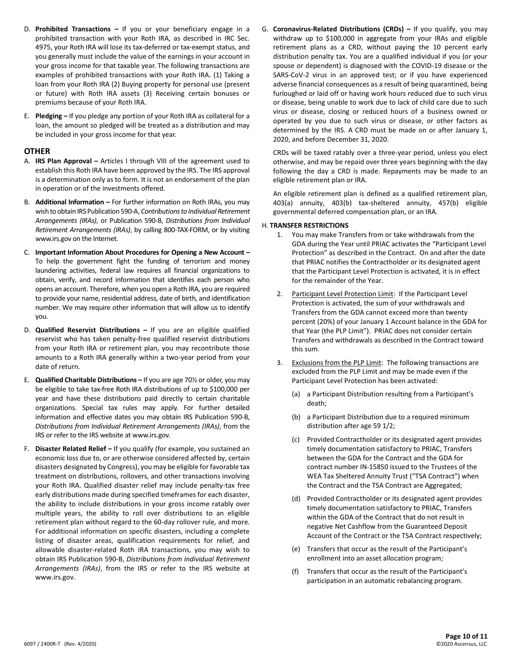- D. **Prohibited Transactions –** If you or your beneficiary engage in a prohibited transaction with your Roth IRA, as described in IRC Sec. 4975, your Roth IRA will lose its tax-deferred or tax-exempt status, and you generally must include the value of the earnings in your account in your gross income for that taxable year. The following transactions are examples of prohibited transactions with your Roth IRA. (1) Taking a loan from your Roth IRA (2) Buying property for personal use (present or future) with Roth IRA assets (3) Receiving certain bonuses or premiums because of your Roth IRA.
- E. **Pledging –** If you pledge any portion of your Roth IRA as collateral for a loan, the amount so pledged will be treated as a distribution and may be included in your gross income for that year.

## **OTHER**

- A. **IRS Plan Approval –** Articles I through VIII of the agreement used to establish this Roth IRA have been approved by the IRS. The IRS approval is a determination only as to form. It is not an endorsement of the plan in operation or of the investments offered.
- B. **Additional Information –** For further information on Roth IRAs, you may wish to obtain IRS Publication 590-A, *Contributions to Individual Retirement Arrangements (IRAs)*, or Publication 590-B, *Distributions from Individual Retirement Arrangements (IRAs)*, by calling 800-TAX-FORM, or by visiting www.irs.gov on the Internet.
- C. **Important Information About Procedures for Opening a New Account –** To help the government fight the funding of terrorism and money laundering activities, federal law requires all financial organizations to obtain, verify, and record information that identifies each person who opens an account. Therefore, when you open a Roth IRA, you are required to provide your name, residential address, date of birth, and identification number. We may require other information that will allow us to identify you.
- D. **Qualified Reservist Distributions –** If you are an eligible qualified reservist who has taken penalty-free qualified reservist distributions from your Roth IRA or retirement plan, you may recontribute those amounts to a Roth IRA generally within a two-year period from your date of return.
- E. **Qualified Charitable Distributions –** If you are age 70½ or older, you may be eligible to take tax-free Roth IRA distributions of up to \$100,000 per year and have these distributions paid directly to certain charitable organizations. Special tax rules may apply. For further detailed information and effective dates you may obtain IRS Publication 590-B, *Distributions from Individual Retirement Arrangements (IRAs)*, from the IRS or refer to the IRS website at www.irs.gov.
- F. **Disaster Related Relief –** If you qualify (for example, you sustained an economic loss due to, or are otherwise considered affected by, certain disasters designated by Congress), you may be eligible for favorable tax treatment on distributions, rollovers, and other transactions involving your Roth IRA. Qualified disaster relief may include penalty-tax free early distributions made during specified timeframes for each disaster, the ability to include distributions in your gross income ratably over multiple years, the ability to roll over distributions to an eligible retirement plan without regard to the 60-day rollover rule, and more. For additional information on specific disasters, including a complete listing of disaster areas, qualification requirements for relief, and allowable disaster-related Roth IRA transactions, you may wish to obtain IRS Publication 590-B, *Distributions from Individual Retirement Arrangements (IRAs)*, from the IRS or refer to the IRS website at www.irs.gov.

G. **Coronavirus-Related Distributions (CRDs) –** If you qualify, you may withdraw up to \$100,000 in aggregate from your IRAs and eligible retirement plans as a CRD, without paying the 10 percent early distribution penalty tax. You are a qualified individual if you (or your spouse or dependent) is diagnosed with the COVID-19 disease or the SARS-CoV-2 virus in an approved test; or if you have experienced adverse financial consequences as a result of being quarantined, being furloughed or laid off or having work hours reduced due to such virus or disease, being unable to work due to lack of child care due to such virus or disease, closing or reduced hours of a business owned or operated by you due to such virus or disease, or other factors as determined by the IRS. A CRD must be made on or after January 1, 2020, and before December 31, 2020.

CRDs will be taxed ratably over a three-year period, unless you elect otherwise, and may be repaid over three years beginning with the day following the day a CRD is made. Repayments may be made to an eligible retirement plan or IRA.

An eligible retirement plan is defined as a qualified retirement plan, 403(a) annuity, 403(b) tax-sheltered annuity, 457(b) eligible governmental deferred compensation plan, or an IRA.

#### H. **TRANSFER RESTRICTIONS**

- 1. You may make Transfers from or take withdrawals from the GDA during the Year until PRIAC activates the "Participant Level Protection" as described in the Contract. On and after the date that PRIAC notifies the Contractholder or its designated agent that the Participant Level Protection is activated, it is in effect for the remainder of the Year.
- 2. Participant Level Protection Limit: If the Participant Level Protection is activated, the sum of your withdrawals and Transfers from the GDA cannot exceed more than twenty percent (20%) of your January 1 Account balance in the GDA for that Year (the PLP Limit"). PRIAC does not consider certain Transfers and withdrawals as described in the Contract toward this sum.
- 3. Exclusions from the PLP Limit: The following transactions are excluded from the PLP Limit and may be made even if the Participant Level Protection has been activated:
	- (a) a Participant Distribution resulting from a Participant's death;
	- (b) a Participant Distribution due to a required minimum distribution after age 59 1/2;
	- (c) Provided Contractholder or its designated agent provides timely documentation satisfactory to PRIAC, Transfers between the GDA for the Contract and the GDA for contract number IN-15850 issued to the Trustees of the WEA Tax Sheltered Annuity Trust ("TSA Contract") when the Contract and the TSA Contract are Aggregated;
	- (d) Provided Contractholder or its designated agent provides timely documentation satisfactory to PRIAC, Transfers within the GDA of the Contract that do not result in negative Net Cashflow from the Guaranteed Deposit Account of the Contract or the TSA Contract respectively;
	- (e) Transfers that occur as the result of the Participant's enrollment into an asset allocation program;
	- (f) Transfers that occur as the result of the Participant's participation in an automatic rebalancing program.